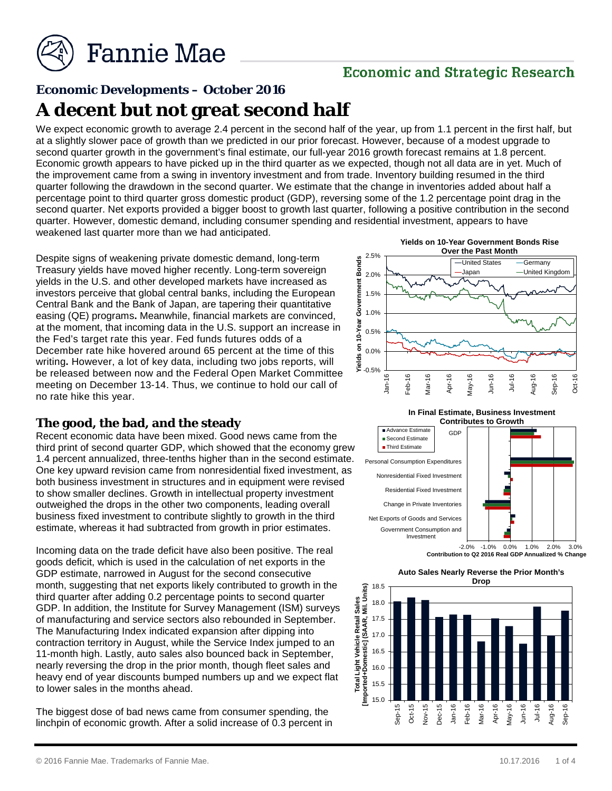

# **Economic and Strategic Research**

# **Economic Developments – October 2016**

# **A decent but not great second half**

We expect economic growth to average 2.4 percent in the second half of the year, up from 1.1 percent in the first half, but at a slightly slower pace of growth than we predicted in our prior forecast. However, because of a modest upgrade to second quarter growth in the government's final estimate, our full-year 2016 growth forecast remains at 1.8 percent. Economic growth appears to have picked up in the third quarter as we expected, though not all data are in yet. Much of the improvement came from a swing in inventory investment and from trade. Inventory building resumed in the third quarter following the drawdown in the second quarter. We estimate that the change in inventories added about half a percentage point to third quarter gross domestic product (GDP), reversing some of the 1.2 percentage point drag in the second quarter. Net exports provided a bigger boost to growth last quarter, following a positive contribution in the second quarter. However, domestic demand, including consumer spending and residential investment, appears to have weakened last quarter more than we had anticipated.

Despite signs of weakening private domestic demand, long-term Treasury yields have moved higher recently. Long-term sovereign yields in the U.S. and other developed markets have increased as investors perceive that global central banks, including the European Central Bank and the Bank of Japan, are tapering their quantitative easing (QE) programs**.** Meanwhile, financial markets are convinced, at the moment, that incoming data in the U.S. support an increase in the Fed's target rate this year. Fed funds futures odds of a December rate hike hovered around 65 percent at the time of this writing**.** However, a lot of key data, including two jobs reports, will be released between now and the Federal Open Market Committee meeting on December 13-14. Thus, we continue to hold our call of no rate hike this year.

### **The good, the bad, and the steady**

Recent economic data have been mixed. Good news came from the third print of second quarter GDP, which showed that the economy grew 1.4 percent annualized, three-tenths higher than in the second estimate. One key upward revision came from nonresidential fixed investment, as both business investment in structures and in equipment were revised to show smaller declines. Growth in intellectual property investment outweighed the drops in the other two components, leading overall business fixed investment to contribute slightly to growth in the third estimate, whereas it had subtracted from growth in prior estimates.

Incoming data on the trade deficit have also been positive. The real goods deficit, which is used in the calculation of net exports in the GDP estimate, narrowed in August for the second consecutive month, suggesting that net exports likely contributed to growth in the third quarter after adding 0.2 percentage points to second quarter GDP. In addition, the Institute for Survey Management (ISM) surveys of manufacturing and service sectors also rebounded in September. The Manufacturing Index indicated expansion after dipping into contraction territory in August, while the Service Index jumped to an 11-month high. Lastly, auto sales also bounced back in September, nearly reversing the drop in the prior month, though fleet sales and heavy end of year discounts bumped numbers up and we expect flat to lower sales in the months ahead.

The biggest dose of bad news came from consumer spending, the linchpin of economic growth. After a solid increase of 0.3 percent in



**In Final Estimate, Business Investment** 



-2.0% -1.0% 0.0% 1.0% 2.0% 3.0% **Contribution to Q2 2016 Real GDP Annualized % Change**



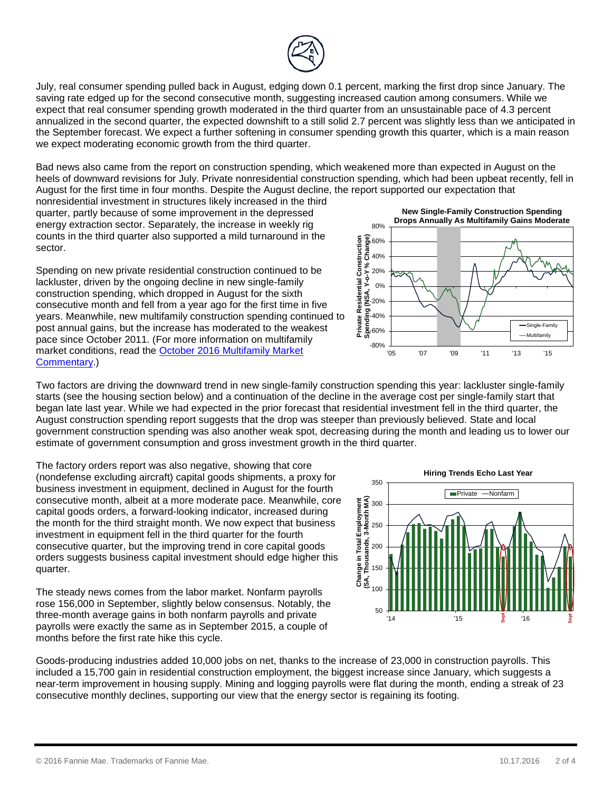

July, real consumer spending pulled back in August, edging down 0.1 percent, marking the first drop since January. The saving rate edged up for the second consecutive month, suggesting increased caution among consumers. While we expect that real consumer spending growth moderated in the third quarter from an unsustainable pace of 4.3 percent annualized in the second quarter, the expected downshift to a still solid 2.7 percent was slightly less than we anticipated in the September forecast. We expect a further softening in consumer spending growth this quarter, which is a main reason we expect moderating economic growth from the third quarter.

Bad news also came from the report on construction spending, which weakened more than expected in August on the heels of downward revisions for July. Private nonresidential construction spending, which had been upbeat recently, fell in August for the first time in four months. Despite the August decline, the report supported our expectation that

nonresidential investment in structures likely increased in the third quarter, partly because of some improvement in the depressed energy extraction sector. Separately, the increase in weekly rig counts in the third quarter also supported a mild turnaround in the sector.

Spending on new private residential construction continued to be lackluster, driven by the ongoing decline in new single-family construction spending, which dropped in August for the sixth consecutive month and fell from a year ago for the first time in five years. Meanwhile, new multifamily construction spending continued to post annual gains, but the increase has moderated to the weakest pace since October 2011. (For more information on multifamily market conditions, read the [October 2016 Multifamily Market](http://fanniemae.com/resources/file/research/emma/pdf/MF_Market_Commentary_101816.pdf)  [Commentary.](http://fanniemae.com/resources/file/research/emma/pdf/MF_Market_Commentary_101816.pdf))

**New Single-Family Construction Spending Drops Annually As Multifamily Gains Moderate**



Two factors are driving the downward trend in new single-family construction spending this year: lackluster single-family starts (see the housing section below) and a continuation of the decline in the average cost per single-family start that began late last year. While we had expected in the prior forecast that residential investment fell in the third quarter, the August construction spending report suggests that the drop was steeper than previously believed. State and local government construction spending was also another weak spot, decreasing during the month and leading us to lower our estimate of government consumption and gross investment growth in the third quarter.

The factory orders report was also negative, showing that core (nondefense excluding aircraft) capital goods shipments, a proxy for business investment in equipment, declined in August for the fourth consecutive month, albeit at a more moderate pace. Meanwhile, core capital goods orders, a forward-looking indicator, increased during the month for the third straight month. We now expect that business investment in equipment fell in the third quarter for the fourth consecutive quarter, but the improving trend in core capital goods orders suggests business capital investment should edge higher this quarter.

The steady news comes from the labor market. Nonfarm payrolls rose 156,000 in September, slightly below consensus. Notably, the three-month average gains in both nonfarm payrolls and private payrolls were exactly the same as in September 2015, a couple of months before the first rate hike this cycle.



Goods-producing industries added 10,000 jobs on net, thanks to the increase of 23,000 in construction payrolls. This included a 15,700 gain in residential construction employment, the biggest increase since January, which suggests a near-term improvement in housing supply. Mining and logging payrolls were flat during the month, ending a streak of 23 consecutive monthly declines, supporting our view that the energy sector is regaining its footing.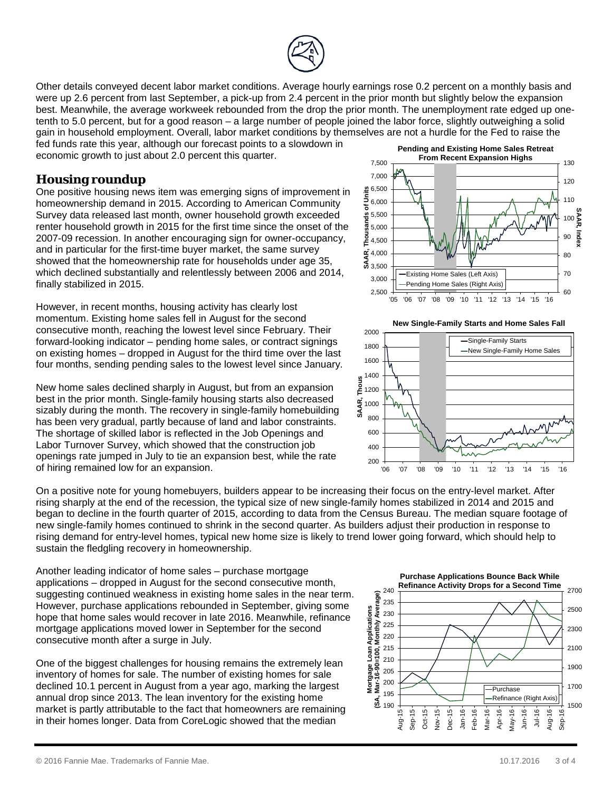

Other details conveyed decent labor market conditions. Average hourly earnings rose 0.2 percent on a monthly basis and were up 2.6 percent from last September, a pick-up from 2.4 percent in the prior month but slightly below the expansion best. Meanwhile, the average workweek rebounded from the drop the prior month. The unemployment rate edged up onetenth to 5.0 percent, but for a good reason – a large number of people joined the labor force, slightly outweighing a solid gain in household employment. Overall, labor market conditions by themselves are not a hurdle for the Fed to raise the fed funds rate this year, although our forecast points to a slowdown in

economic growth to just about 2.0 percent this quarter.

### **Housing roundup**

One positive housing news item was emerging signs of improvement in homeownership demand in 2015. According to American Community Survey data released last month, owner household growth exceeded renter household growth in 2015 for the first time since the onset of the 2007-09 recession. In another encouraging sign for owner-occupancy, and in particular for the first-time buyer market, the same survey showed that the homeownership rate for households under age 35, which declined substantially and relentlessly between 2006 and 2014, finally stabilized in 2015.

However, in recent months, housing activity has clearly lost momentum. Existing home sales fell in August for the second consecutive month, reaching the lowest level since February. Their forward-looking indicator – pending home sales, or contract signings on existing homes – dropped in August for the third time over the last four months, sending pending sales to the lowest level since January.

New home sales declined sharply in August, but from an expansion best in the prior month. Single-family housing starts also decreased sizably during the month. The recovery in single-family homebuilding has been very gradual, partly because of land and labor constraints. The shortage of skilled labor is reflected in the Job Openings and Labor Turnover Survey, which showed that the construction job openings rate jumped in July to tie an expansion best, while the rate of hiring remained low for an expansion.

On a positive note for young homebuyers, builders appear to be increasing their focus on the entry-level market. After rising sharply at the end of the recession, the typical size of new single-family homes stabilized in 2014 and 2015 and began to decline in the fourth quarter of 2015, according to data from the Census Bureau. The median square footage of new single-family homes continued to shrink in the second quarter. As builders adjust their production in response to rising demand for entry-level homes, typical new home size is likely to trend lower going forward, which should help to sustain the fledgling recovery in homeownership.

Another leading indicator of home sales – purchase mortgage applications – dropped in August for the second consecutive month, suggesting continued weakness in existing home sales in the near term. However, purchase applications rebounded in September, giving some hope that home sales would recover in late 2016. Meanwhile, refinance mortgage applications moved lower in September for the second consecutive month after a surge in July.

One of the biggest challenges for housing remains the extremely lean inventory of homes for sale. The number of existing homes for sale declined 10.1 percent in August from a year ago, marking the largest annual drop since 2013. The lean inventory for the existing home market is partly attributable to the fact that homeowners are remaining in their homes longer. Data from CoreLogic showed that the median



**New Single-Family Starts and Home Sales Fall**



**Purchase Applications Bounce Back While**